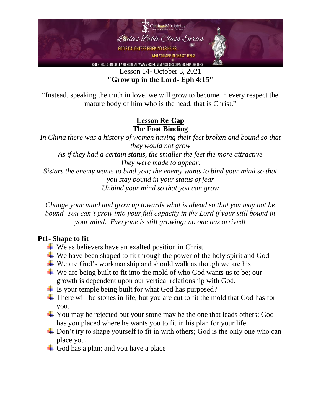

Lesson 14- October 3, 2021 **"Grow up in the Lord- Eph 4:15"**

"Instead, speaking the truth in love, we will grow to become in every respect the mature body of him who is the head, that is Christ."

### **Lesson Re-Cap The Foot Binding**

*In China there was a history of women having their feet broken and bound so that they would not grow As if they had a certain status, the smaller the feet the more attractive They were made to appear. Sistars the enemy wants to bind you; the enemy wants to bind your mind so that you stay bound in your status of fear Unbind your mind so that you can grow*

*Change your mind and grow up towards what is ahead so that you may not be bound. You can't grow into your full capacity in the Lord if your still bound in your mind. Everyone is still growing; no one has arrived!*

# **Pt1- Shape to fit**

- $\overline{\text{ }}$  We as believers have an exalted position in Christ
- $\overline{\mathbf{u}}$  We have been shaped to fit through the power of the holy spirit and God
- $\overline{\phantom{a}}$  We are God's workmanship and should walk as though we are his
- $\overline{\mathbf{u}}$  We are being built to fit into the mold of who God wants us to be; our growth is dependent upon our vertical relationship with God.
- $\overline{\phantom{a}}$  Is your temple being built for what God has purposed?
- $\overline{\text{I}}$  There will be stones in life, but you are cut to fit the mold that God has for you.
- $\pm$  You may be rejected but your stone may be the one that leads others; God has you placed where he wants you to fit in his plan for your life.
- $\overline{\phantom{a}}$  Don't try to shape yourself to fit in with others; God is the only one who can place you.
- God has a plan; and you have a place